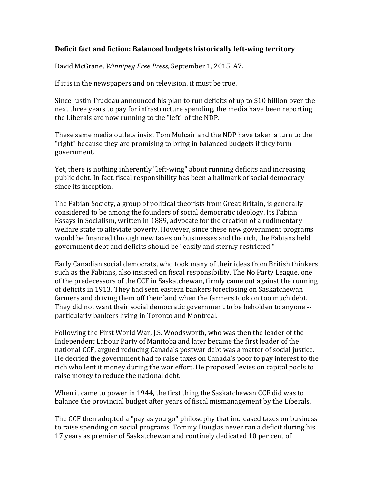## **Deficit fact and fiction: Balanced budgets historically left-wing territory**

David McGrane, *Winnipeg Free Press*, September 1, 2015, A7.

If it is in the newspapers and on television, it must be true.

Since Justin Trudeau announced his plan to run deficits of up to \$10 billion over the next three years to pay for infrastructure spending, the media have been reporting the Liberals are now running to the "left" of the NDP.

These same media outlets insist Tom Mulcair and the NDP have taken a turn to the "right" because they are promising to bring in balanced budgets if they form government.

Yet, there is nothing inherently "left-wing" about running deficits and increasing public debt. In fact, fiscal responsibility has been a hallmark of social democracy since its inception.

The Fabian Society, a group of political theorists from Great Britain, is generally considered to be among the founders of social democratic ideology. Its Fabian Essays in Socialism, written in 1889, advocate for the creation of a rudimentary welfare state to alleviate poverty. However, since these new government programs would be financed through new taxes on businesses and the rich, the Fabians held government debt and deficits should be "easily and sternly restricted."

Early Canadian social democrats, who took many of their ideas from British thinkers such as the Fabians, also insisted on fiscal responsibility. The No Party League, one of the predecessors of the CCF in Saskatchewan, firmly came out against the running of deficits in 1913. They had seen eastern bankers foreclosing on Saskatchewan farmers and driving them off their land when the farmers took on too much debt. They did not want their social democratic government to be beholden to anyone -particularly bankers living in Toronto and Montreal.

Following the First World War, J.S. Woodsworth, who was then the leader of the Independent Labour Party of Manitoba and later became the first leader of the national CCF, argued reducing Canada's postwar debt was a matter of social justice. He decried the government had to raise taxes on Canada's poor to pay interest to the rich who lent it money during the war effort. He proposed levies on capital pools to raise money to reduce the national debt.

When it came to power in 1944, the first thing the Saskatchewan CCF did was to balance the provincial budget after years of fiscal mismanagement by the Liberals.

The CCF then adopted a "pay as you go" philosophy that increased taxes on business to raise spending on social programs. Tommy Douglas never ran a deficit during his 17 years as premier of Saskatchewan and routinely dedicated 10 per cent of